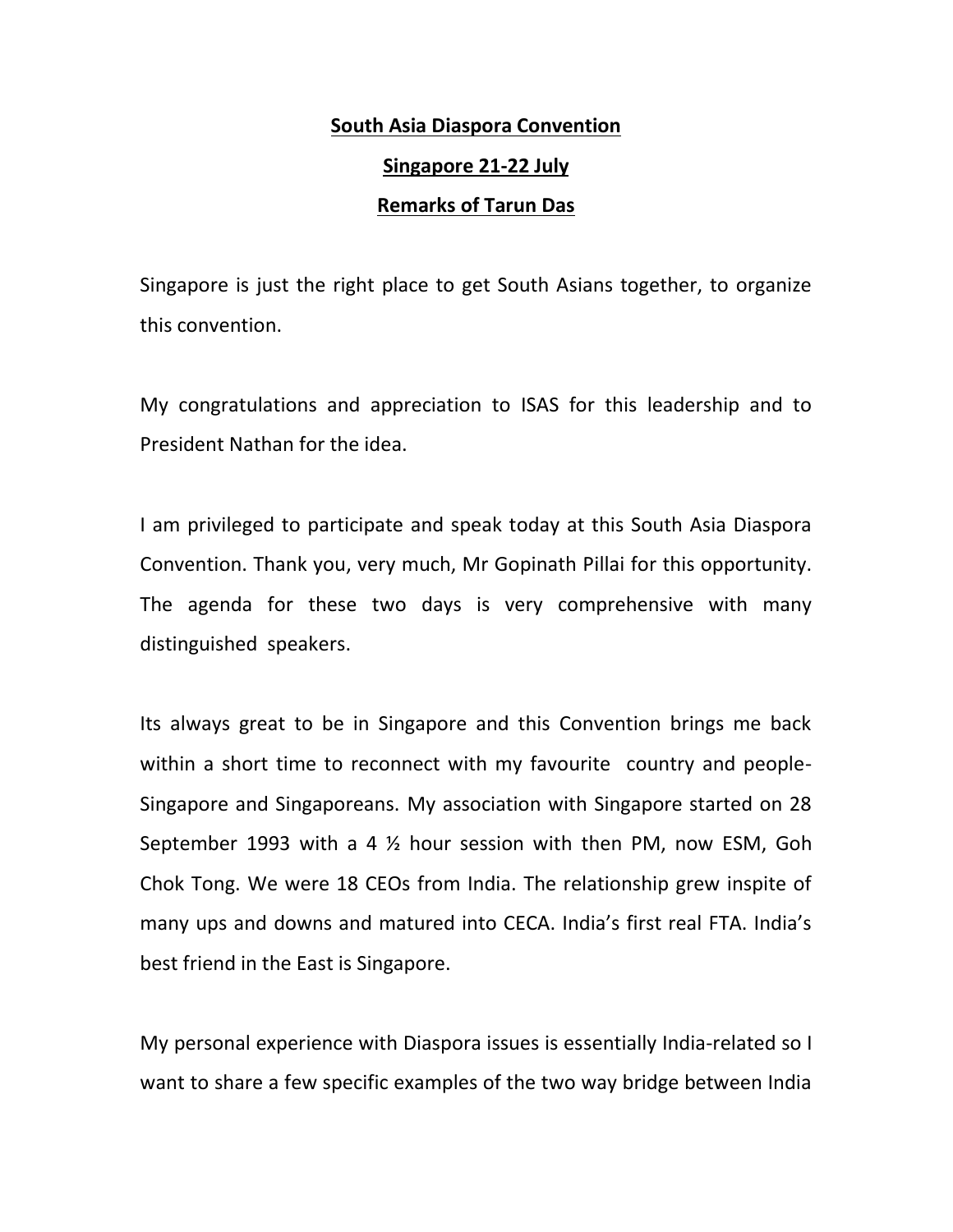# **South Asia Diaspora Convention Singapore 21-22 July**

## **Remarks of Tarun Das**

Singapore is just the right place to get South Asians together, to organize this convention.

My congratulations and appreciation to ISAS for this leadership and to President Nathan for the idea.

I am privileged to participate and speak today at this South Asia Diaspora Convention. Thank you, very much, Mr Gopinath Pillai for this opportunity. The agenda for these two days is very comprehensive with many distinguished speakers.

Its always great to be in Singapore and this Convention brings me back within a short time to reconnect with my favourite country and people- Singapore and Singaporeans. My association with Singapore started on 28 September 1993 with a 4 ½ hour session with then PM, now ESM, Goh Chok Tong. We were 18 CEOs from India. The relationship grew inspite of many ups and downs and matured into CECA. India's first real FTA. India's best friend in the East is Singapore.

My personal experience with Diaspora issues is essentially India-related so I want to share a few specific examples of the two way bridge between India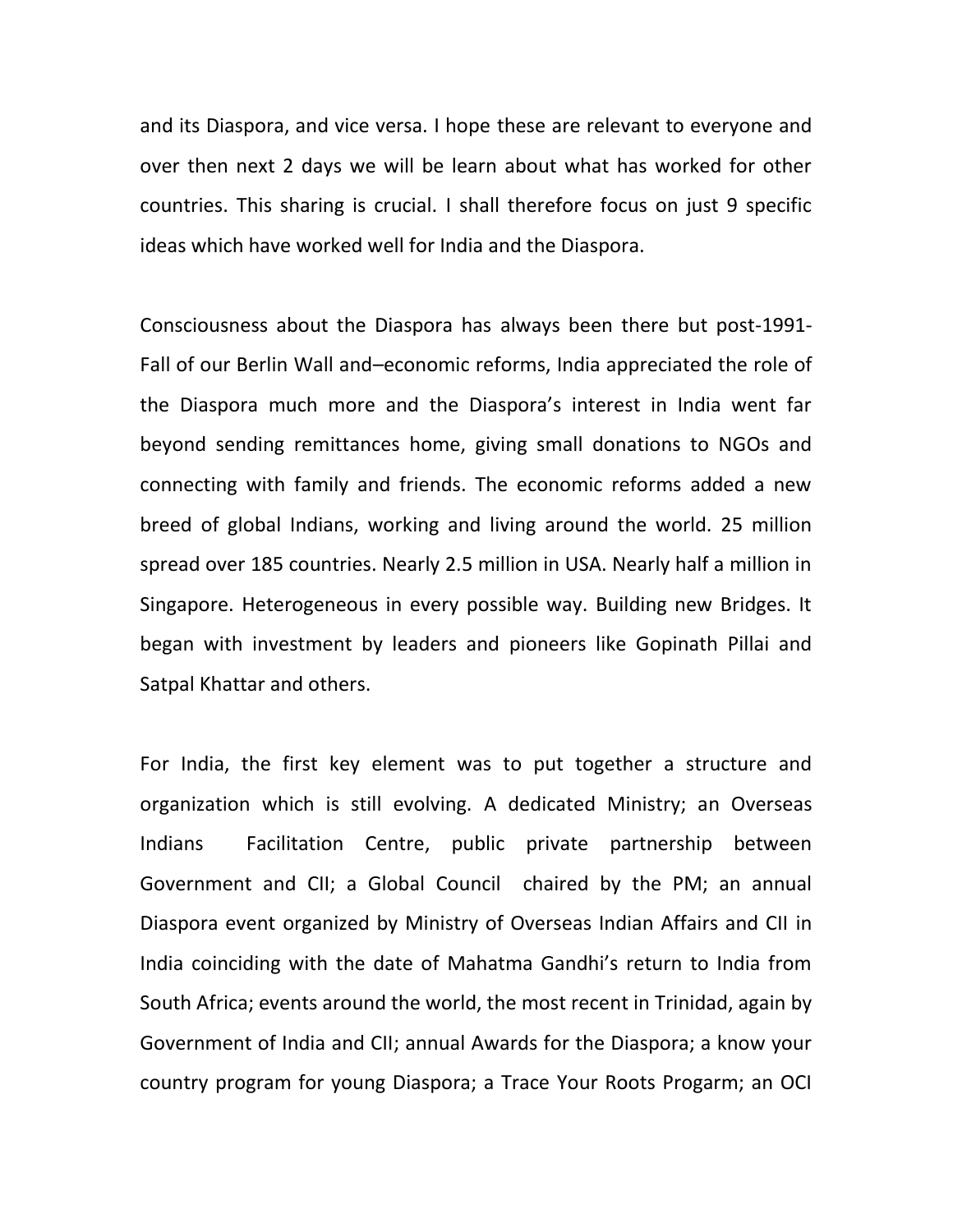and its Diaspora, and vice versa. I hope these are relevant to everyone and over then next 2 days we will be learn about what has worked for other countries. This sharing is crucial. I shall therefore focus on just 9 specific ideas which have worked well for India and the Diaspora.

Consciousness about the Diaspora has always been there but post-1991- Fall of our Berlin Wall and–economic reforms, India appreciated the role of the Diaspora much more and the Diaspora's interest in India went far beyond sending remittances home, giving small donations to NGOs and connecting with family and friends. The economic reforms added a new breed of global Indians, working and living around the world. 25 million spread over 185 countries. Nearly 2.5 million in USA. Nearly half a million in Singapore. Heterogeneous in every possible way. Building new Bridges. It began with investment by leaders and pioneers like Gopinath Pillai and Satpal Khattar and others.

For India, the first key element was to put together a structure and organization which is still evolving. A dedicated Ministry; an Overseas Indians Facilitation Centre, public private partnership between Government and CII; a Global Council chaired by the PM; an annual Diaspora event organized by Ministry of Overseas Indian Affairs and CII in India coinciding with the date of Mahatma Gandhi's return to India from South Africa; events around the world, the most recent in Trinidad, again by Government of India and CII; annual Awards for the Diaspora; a know your country program for young Diaspora; a Trace Your Roots Progarm; an OCI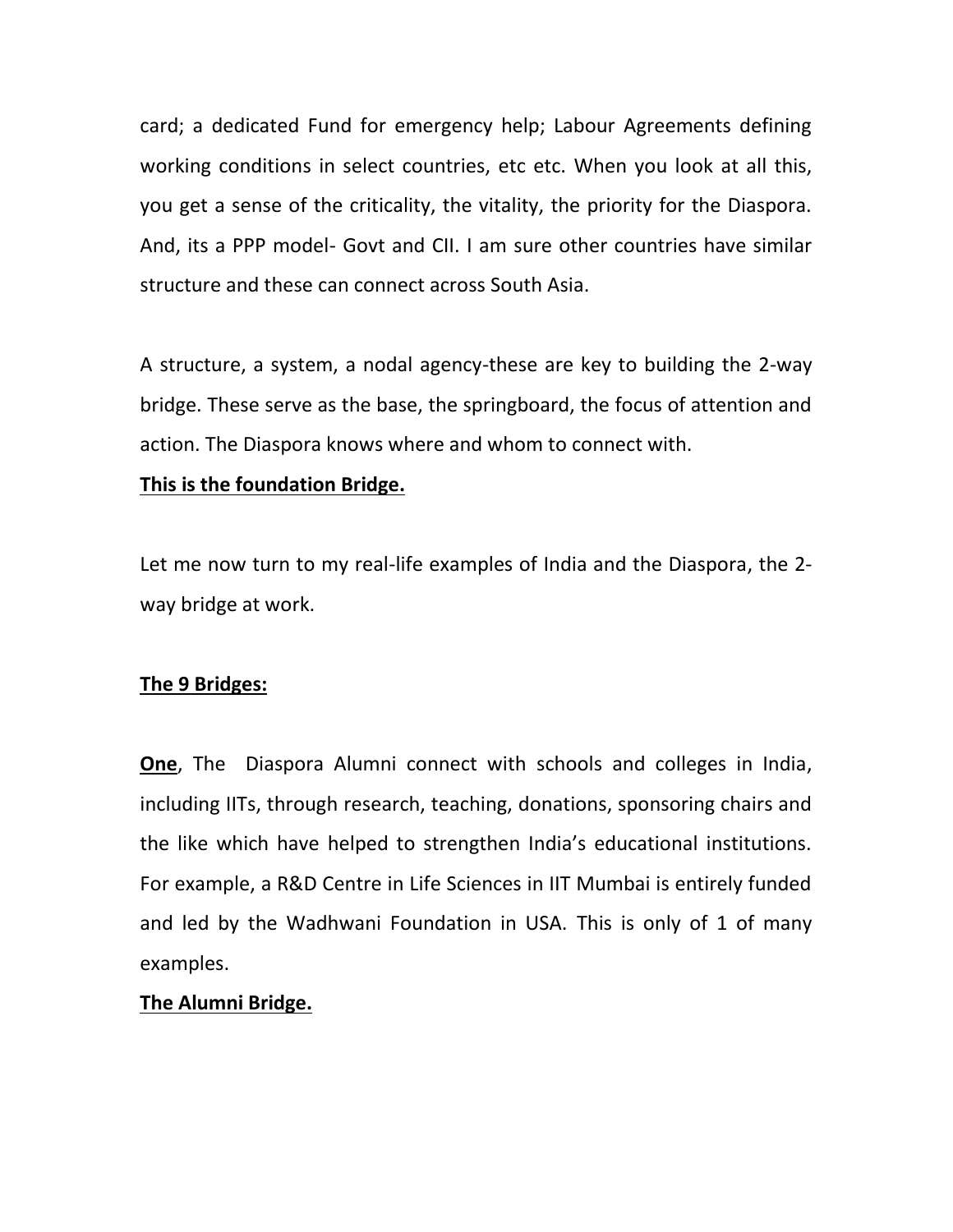card; a dedicated Fund for emergency help; Labour Agreements defining working conditions in select countries, etc etc. When you look at all this, you get a sense of the criticality, the vitality, the priority for the Diaspora. And, its a PPP model- Govt and CII. I am sure other countries have similar structure and these can connect across South Asia.

A structure, a system, a nodal agency-these are key to building the 2-way bridge. These serve as the base, the springboard, the focus of attention and action. The Diaspora knows where and whom to connect with.

#### **This is the foundation Bridge.**

Let me now turn to my real-life examples of India and the Diaspora, the 2 way bridge at work.

#### **The 9 Bridges:**

**One**, The Diaspora Alumni connect with schools and colleges in India, including IITs, through research, teaching, donations, sponsoring chairs and the like which have helped to strengthen India's educational institutions. For example, a R&D Centre in Life Sciences in IIT Mumbai is entirely funded and led by the Wadhwani Foundation in USA. This is only of 1 of many examples.

#### **The Alumni Bridge.**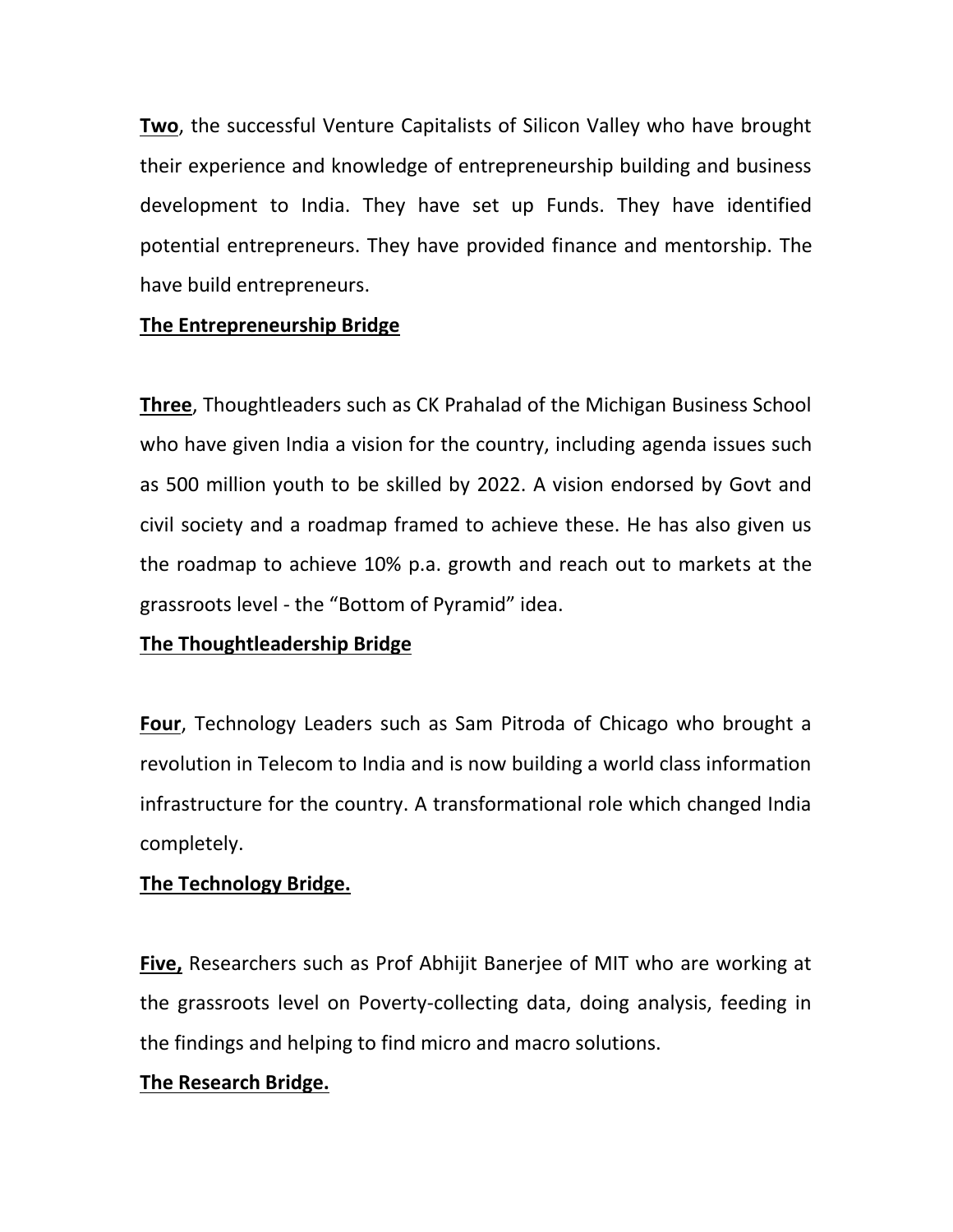**Two**, the successful Venture Capitalists of Silicon Valley who have brought their experience and knowledge of entrepreneurship building and business development to India. They have set up Funds. They have identified potential entrepreneurs. They have provided finance and mentorship. The have build entrepreneurs.

## **The Entrepreneurship Bridge**

**Three**, Thoughtleaders such as CK Prahalad of the Michigan Business School who have given India a vision for the country, including agenda issues such as 500 million youth to be skilled by 2022. A vision endorsed by Govt and civil society and a roadmap framed to achieve these. He has also given us the roadmap to achieve 10% p.a. growth and reach out to markets at the grassroots level - the "Bottom of Pyramid" idea.

#### **The Thoughtleadership Bridge**

**Four**, Technology Leaders such as Sam Pitroda of Chicago who brought a revolution in Telecom to India and is now building a world class information infrastructure for the country. A transformational role which changed India completely.

#### **The Technology Bridge.**

**Five,** Researchers such as Prof Abhijit Banerjee of MIT who are working at the grassroots level on Poverty-collecting data, doing analysis, feeding in the findings and helping to find micro and macro solutions.

#### **The Research Bridge.**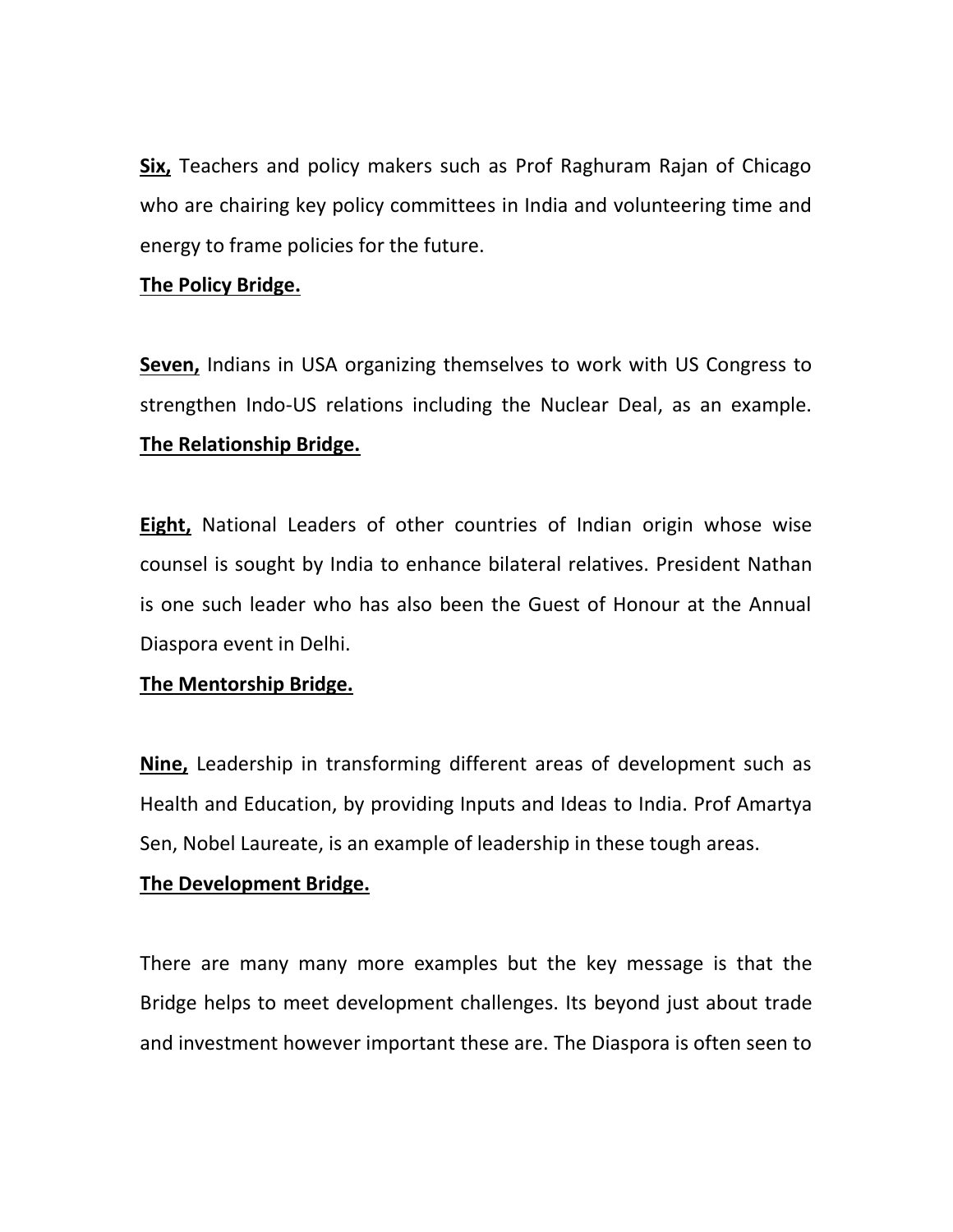**Six,** Teachers and policy makers such as Prof Raghuram Rajan of Chicago who are chairing key policy committees in India and volunteering time and energy to frame policies for the future.

#### **The Policy Bridge.**

**Seven,** Indians in USA organizing themselves to work with US Congress to strengthen Indo-US relations including the Nuclear Deal, as an example. **The Relationship Bridge.**

**Eight,** National Leaders of other countries of Indian origin whose wise counsel is sought by India to enhance bilateral relatives. President Nathan is one such leader who has also been the Guest of Honour at the Annual Diaspora event in Delhi.

# **The Mentorship Bridge.**

**Nine,** Leadership in transforming different areas of development such as Health and Education, by providing Inputs and Ideas to India. Prof Amartya Sen, Nobel Laureate, is an example of leadership in these tough areas.

#### **The Development Bridge.**

There are many many more examples but the key message is that the Bridge helps to meet development challenges. Its beyond just about trade and investment however important these are. The Diaspora is often seen to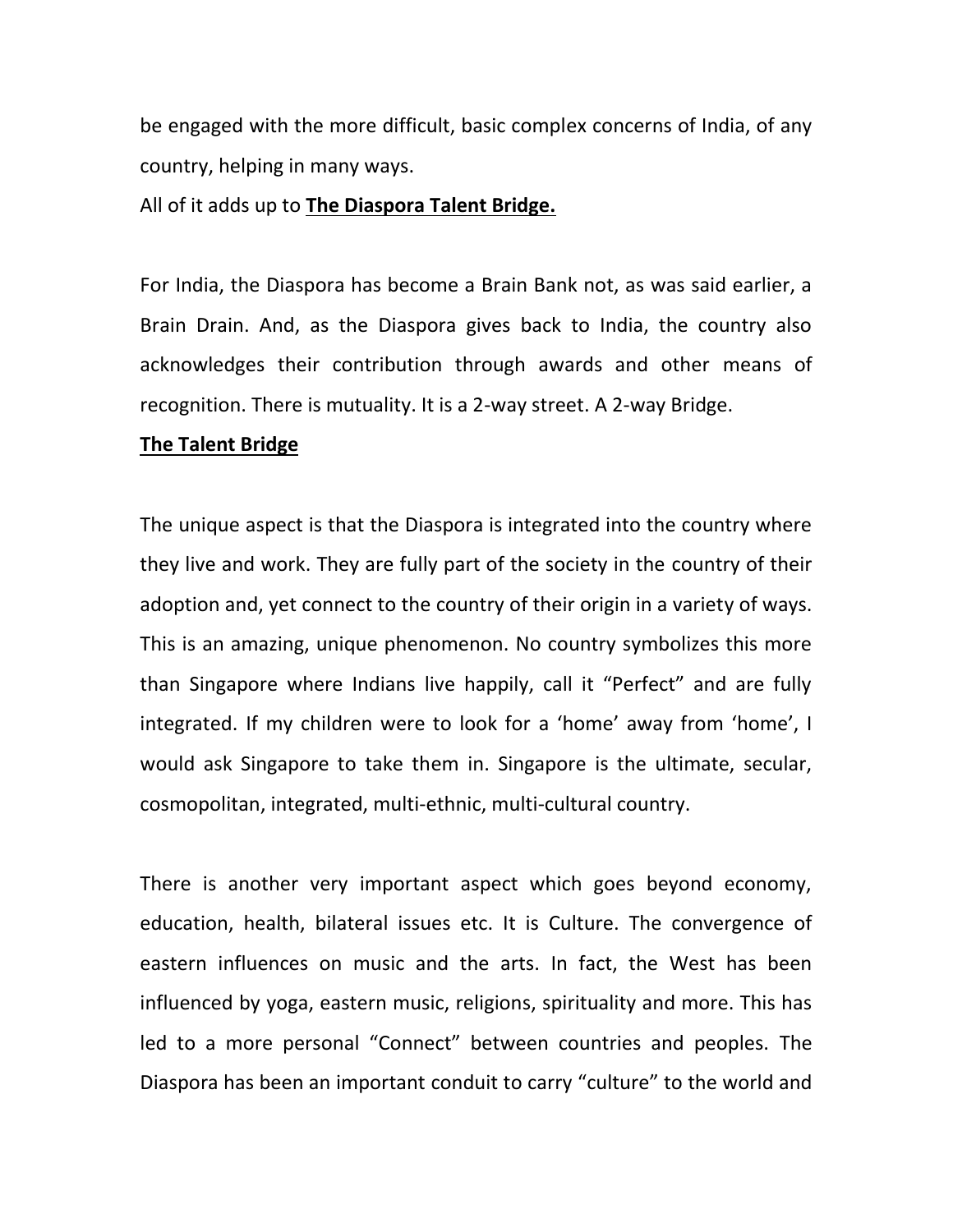be engaged with the more difficult, basic complex concerns of India, of any country, helping in many ways.

All of it adds up to **The Diaspora Talent Bridge.**

For India, the Diaspora has become a Brain Bank not, as was said earlier, a Brain Drain. And, as the Diaspora gives back to India, the country also acknowledges their contribution through awards and other means of recognition. There is mutuality. It is a 2-way street. A 2-way Bridge.

#### **The Talent Bridge**

The unique aspect is that the Diaspora is integrated into the country where they live and work. They are fully part of the society in the country of their adoption and, yet connect to the country of their origin in a variety of ways. This is an amazing, unique phenomenon. No country symbolizes this more than Singapore where Indians live happily, call it "Perfect" and are fully integrated. If my children were to look for a 'home' away from 'home', I would ask Singapore to take them in. Singapore is the ultimate, secular, cosmopolitan, integrated, multi-ethnic, multi-cultural country.

There is another very important aspect which goes beyond economy, education, health, bilateral issues etc. It is Culture. The convergence of eastern influences on music and the arts. In fact, the West has been influenced by yoga, eastern music, religions, spirituality and more. This has led to a more personal "Connect" between countries and peoples. The Diaspora has been an important conduit to carry "culture" to the world and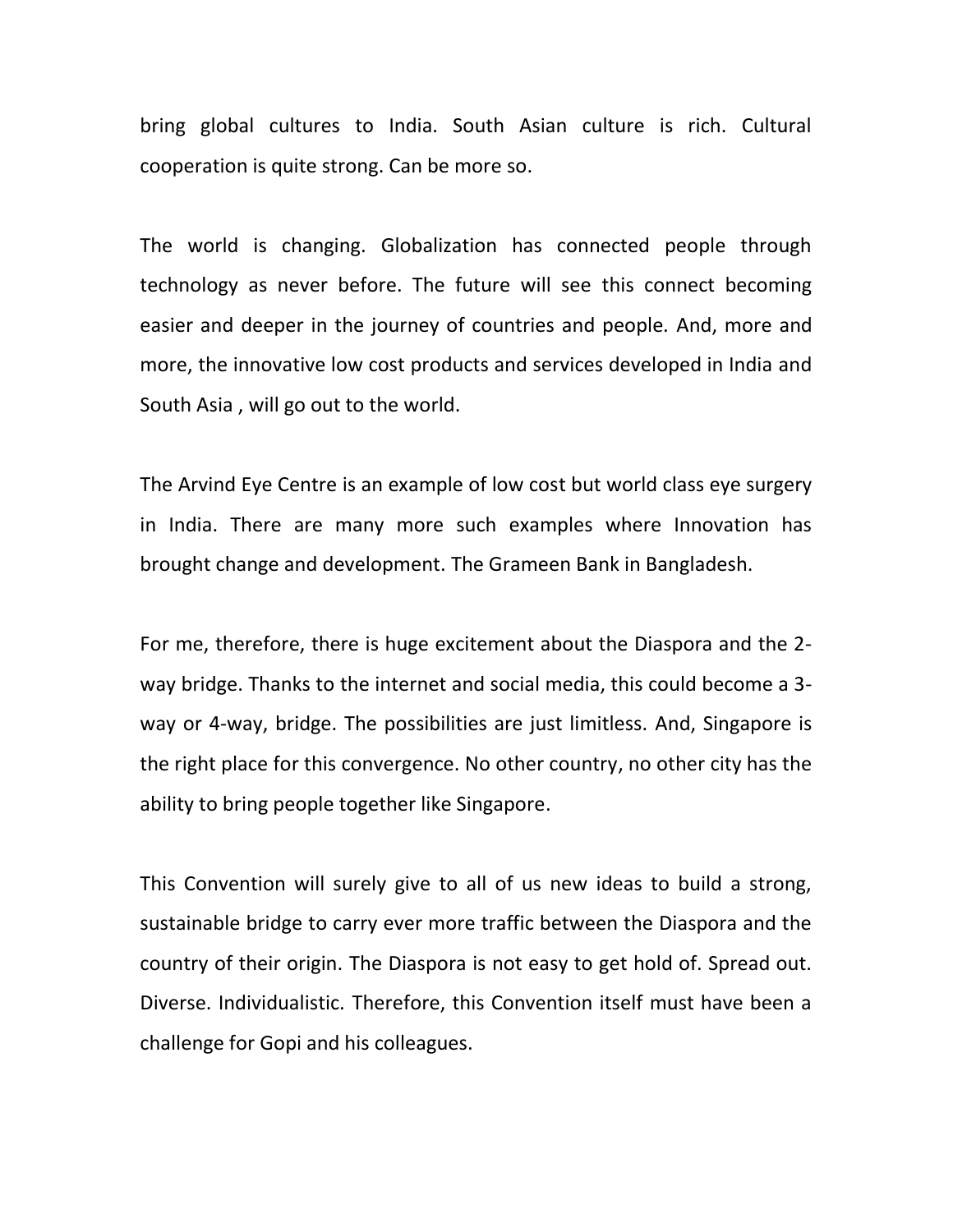bring global cultures to India. South Asian culture is rich. Cultural cooperation is quite strong. Can be more so.

The world is changing. Globalization has connected people through technology as never before. The future will see this connect becoming easier and deeper in the journey of countries and people. And, more and more, the innovative low cost products and services developed in India and South Asia , will go out to the world.

The Arvind Eye Centre is an example of low cost but world class eye surgery in India. There are many more such examples where Innovation has brought change and development. The Grameen Bank in Bangladesh.

For me, therefore, there is huge excitement about the Diaspora and the 2 way bridge. Thanks to the internet and social media, this could become a 3 way or 4-way, bridge. The possibilities are just limitless. And, Singapore is the right place for this convergence. No other country, no other city has the ability to bring people together like Singapore.

This Convention will surely give to all of us new ideas to build a strong, sustainable bridge to carry ever more traffic between the Diaspora and the country of their origin. The Diaspora is not easy to get hold of. Spread out. Diverse. Individualistic. Therefore, this Convention itself must have been a challenge for Gopi and his colleagues.